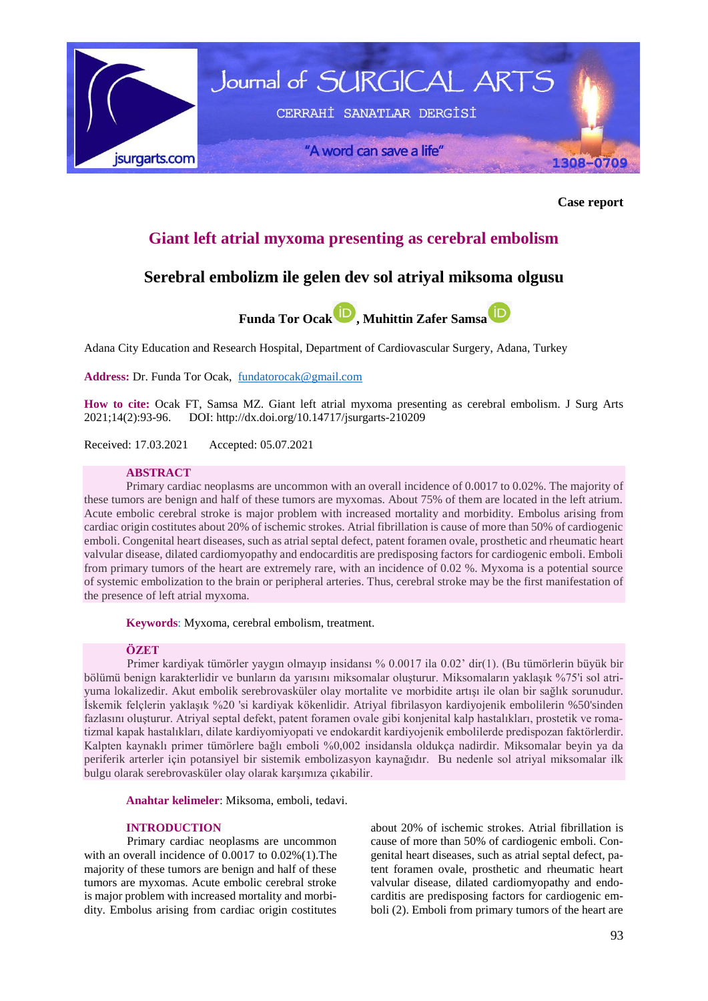

**Case report**

# **Giant left atrial myxoma presenting as cerebral embolism**

# **Serebral embolizm ile gelen dev sol atriyal miksoma olgusu**



Adana City Education and Research Hospital, Department of Cardiovascular Surgery, Adana, Turkey

**Address:** Dr. Funda Tor Ocak, [fundatorocak@gmail.com](mailto:fundatorocak@gmail.com)

**How to cite:** Ocak FT, Samsa MZ. Giant left atrial myxoma presenting as cerebral embolism. J Surg Arts 2021;14(2):93-96. DOI:<http://dx.doi.org/10.14717/jsurgarts-210209>

Received: 17.03.2021 Accepted: 05.07.2021

## **ABSTRACT**

Primary cardiac neoplasms are uncommon with an overall incidence of 0.0017 to 0.02%. The majority of these tumors are benign and half of these tumors are myxomas. About 75% of them are located in the left atrium. Acute embolic cerebral stroke is major problem with increased mortality and morbidity. Embolus arising from cardiac origin costitutes about 20% of ischemic strokes. Atrial fibrillation is cause of more than 50% of cardiogenic emboli. Congenital heart diseases, such as atrial septal defect, patent foramen ovale, prosthetic and rheumatic heart valvular disease, dilated cardiomyopathy and endocarditis are predisposing factors for cardiogenic emboli. Emboli from primary tumors of the heart are extremely rare, with an incidence of 0.02 %. Myxoma is a potential source of systemic embolization to the brain or peripheral arteries. Thus, cerebral stroke may be the first manifestation of the presence of left atrial myxoma.

**Keywords**: Myxoma, cerebral embolism, treatment.

## **ÖZET**

Primer kardiyak tümörler yaygın olmayıp insidansı % 0.0017 ila 0.02' dir(1). (Bu tümörlerin büyük bir bölümü benign karakterlidir ve bunların da yarısını miksomalar oluşturur. Miksomaların yaklaşık %75'i sol atriyuma lokalizedir. Akut embolik serebrovasküler olay mortalite ve morbidite artışı ile olan bir sağlık sorunudur. İskemik felçlerin yaklaşık %20 'si kardiyak kökenlidir. Atriyal fibrilasyon kardiyojenik embolilerin %50'sinden fazlasını oluşturur. Atriyal septal defekt, patent foramen ovale gibi konjenital kalp hastalıkları, prostetik ve romatizmal kapak hastalıkları, dilate kardiyomiyopati ve endokardit kardiyojenik embolilerde predispozan faktörlerdir. Kalpten kaynaklı primer tümörlere bağlı emboli %0,002 insidansla oldukça nadirdir. Miksomalar beyin ya da periferik arterler için potansiyel bir sistemik embolizasyon kaynağıdır. Bu nedenle sol atriyal miksomalar ilk bulgu olarak serebrovasküler olay olarak karşımıza çıkabilir.

**Anahtar kelimeler**: Miksoma, emboli, tedavi.

# **INTRODUCTION**

Primary cardiac neoplasms are uncommon with an overall incidence of 0.0017 to 0.02%(1).The majority of these tumors are benign and half of these tumors are myxomas. Acute embolic cerebral stroke is major problem with increased mortality and morbidity. Embolus arising from cardiac origin costitutes about 20% of ischemic strokes. Atrial fibrillation is cause of more than 50% of cardiogenic emboli. Congenital heart diseases, such as atrial septal defect, patent foramen ovale, prosthetic and rheumatic heart valvular disease, dilated cardiomyopathy and endocarditis are predisposing factors for cardiogenic emboli (2). Emboli from primary tumors of the heart are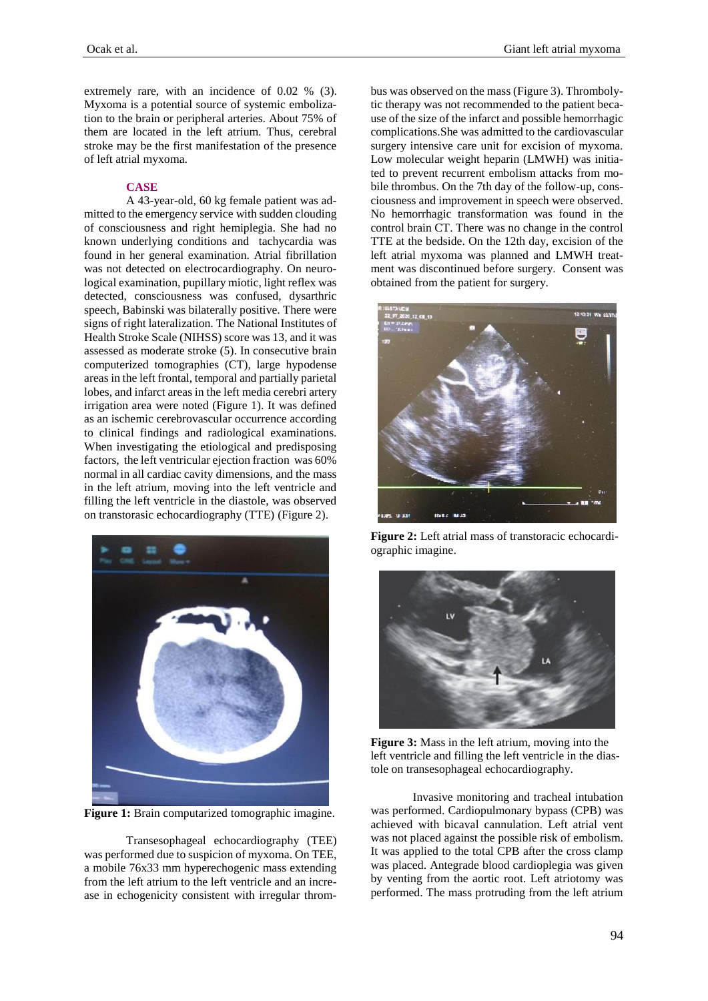extremely rare, with an incidence of 0.02 % (3). Myxoma is a potential source of systemic embolization to the brain or peripheral arteries. About 75% of them are located in the left atrium. Thus, cerebral stroke may be the first manifestation of the presence of left atrial myxoma.

## **CASE**

A 43-year-old, 60 kg female patient was admitted to the emergency service with sudden clouding of consciousness and right hemiplegia. She had no known underlying conditions and tachycardia was found in her general examination. Atrial fibrillation was not detected on electrocardiography. On neurological examination, pupillary miotic, light reflex was detected, consciousness was confused, dysarthric speech, Babinski was bilaterally positive. There were signs of right lateralization. The National Institutes of Health Stroke Scale (NIHSS) score was 13, and it was assessed as moderate stroke (5). In consecutive brain computerized tomographies (CT), large hypodense areas in the left frontal, temporal and partially parietal lobes, and infarct areas in the left media cerebri artery irrigation area were noted (Figure 1). It was defined as an ischemic cerebrovascular occurrence according to clinical findings and radiological examinations. When investigating the etiological and predisposing factors, the left ventricular ejection fraction was 60% normal in all cardiac cavity dimensions, and the mass in the left atrium, moving into the left ventricle and filling the left ventricle in the diastole, was observed on transtorasic echocardiography (TTE) (Figure 2).



**Figure 1:** Brain computarized tomographic imagine.

Transesophageal echocardiography (TEE) was performed due to suspicion of myxoma. On TEE, a mobile 76x33 mm hyperechogenic mass extending from the left atrium to the left ventricle and an increase in echogenicity consistent with irregular thrombus was observed on the mass (Figure 3). Thrombolytic therapy was not recommended to the patient because of the size of the infarct and possible hemorrhagic complications.She was admitted to the cardiovascular surgery intensive care unit for excision of myxoma. Low molecular weight heparin (LMWH) was initiated to prevent recurrent embolism attacks from mobile thrombus. On the 7th day of the follow-up, consciousness and improvement in speech were observed. No hemorrhagic transformation was found in the control brain CT. There was no change in the control TTE at the bedside. On the 12th day, excision of the left atrial myxoma was planned and LMWH treatment was discontinued before surgery. Consent was obtained from the patient for surgery.



**Figure 2:** Left atrial mass of transtoracic echocardiographic imagine.



**Figure 3:** Mass in the left atrium, moving into the left ventricle and filling the left ventricle in the diastole on transesophageal echocardiography.

Invasive monitoring and tracheal intubation was performed. Cardiopulmonary bypass (CPB) was achieved with bicaval cannulation. Left atrial vent was not placed against the possible risk of embolism. It was applied to the total CPB after the cross clamp was placed. Antegrade blood cardioplegia was given by venting from the aortic root. Left atriotomy was performed. The mass protruding from the left atrium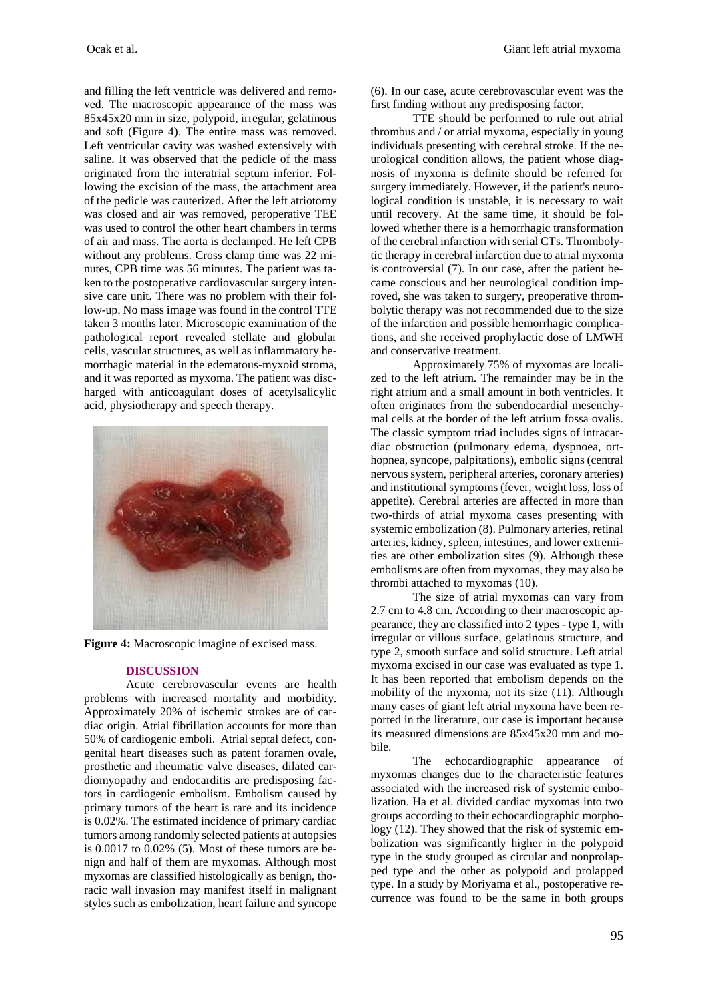and filling the left ventricle was delivered and removed. The macroscopic appearance of the mass was 85x45x20 mm in size, polypoid, irregular, gelatinous and soft (Figure 4). The entire mass was removed. Left ventricular cavity was washed extensively with saline. It was observed that the pedicle of the mass originated from the interatrial septum inferior. Following the excision of the mass, the attachment area of the pedicle was cauterized. After the left atriotomy was closed and air was removed, peroperative TEE was used to control the other heart chambers in terms of air and mass. The aorta is declamped. He left CPB without any problems. Cross clamp time was 22 minutes, CPB time was 56 minutes. The patient was taken to the postoperative cardiovascular surgery intensive care unit. There was no problem with their follow-up. No mass image was found in the control TTE taken 3 months later. Microscopic examination of the pathological report revealed stellate and globular cells, vascular structures, as well as inflammatory hemorrhagic material in the edematous-myxoid stroma, and it was reported as myxoma. The patient was discharged with anticoagulant doses of acetylsalicylic acid, physiotherapy and speech therapy.



**Figure 4:** Macroscopic imagine of excised mass.

### **DISCUSSION**

Acute cerebrovascular events are health problems with increased mortality and morbidity. Approximately 20% of ischemic strokes are of cardiac origin. Atrial fibrillation accounts for more than 50% of cardiogenic emboli. Atrial septal defect, congenital heart diseases such as patent foramen ovale, prosthetic and rheumatic valve diseases, dilated cardiomyopathy and endocarditis are predisposing factors in cardiogenic embolism. Embolism caused by primary tumors of the heart is rare and its incidence is 0.02%. The estimated incidence of primary cardiac tumors among randomly selected patients at autopsies is 0.0017 to 0.02% (5). Most of these tumors are benign and half of them are myxomas. Although most myxomas are classified histologically as benign, thoracic wall invasion may manifest itself in malignant styles such as embolization, heart failure and syncope (6). In our case, acute cerebrovascular event was the first finding without any predisposing factor.

TTE should be performed to rule out atrial thrombus and / or atrial myxoma, especially in young individuals presenting with cerebral stroke. If the neurological condition allows, the patient whose diagnosis of myxoma is definite should be referred for surgery immediately. However, if the patient's neurological condition is unstable, it is necessary to wait until recovery. At the same time, it should be followed whether there is a hemorrhagic transformation of the cerebral infarction with serial CTs. Thrombolytic therapy in cerebral infarction due to atrial myxoma is controversial (7). In our case, after the patient became conscious and her neurological condition improved, she was taken to surgery, preoperative thrombolytic therapy was not recommended due to the size of the infarction and possible hemorrhagic complications, and she received prophylactic dose of LMWH and conservative treatment.

Approximately 75% of myxomas are localized to the left atrium. The remainder may be in the right atrium and a small amount in both ventricles. It often originates from the subendocardial mesenchymal cells at the border of the left atrium fossa ovalis. The classic symptom triad includes signs of intracardiac obstruction (pulmonary edema, dyspnoea, orthopnea, syncope, palpitations), embolic signs (central nervous system, peripheral arteries, coronary arteries) and institutional symptoms (fever, weight loss, loss of appetite). Cerebral arteries are affected in more than two-thirds of atrial myxoma cases presenting with systemic embolization (8). Pulmonary arteries, retinal arteries, kidney, spleen, intestines, and lower extremities are other embolization sites (9). Although these embolisms are often from myxomas, they may also be thrombi attached to myxomas (10).

The size of atrial myxomas can vary from 2.7 cm to 4.8 cm. According to their macroscopic appearance, they are classified into 2 types - type 1, with irregular or villous surface, gelatinous structure, and type 2, smooth surface and solid structure. Left atrial myxoma excised in our case was evaluated as type 1. It has been reported that embolism depends on the mobility of the myxoma, not its size (11). Although many cases of giant left atrial myxoma have been reported in the literature, our case is important because its measured dimensions are 85x45x20 mm and mobile.

The echocardiographic appearance of myxomas changes due to the characteristic features associated with the increased risk of systemic embolization. Ha et al. divided cardiac myxomas into two groups according to their echocardiographic morphology (12). They showed that the risk of systemic embolization was significantly higher in the polypoid type in the study grouped as circular and nonprolapped type and the other as polypoid and prolapped type. In a study by Moriyama et al., postoperative recurrence was found to be the same in both groups